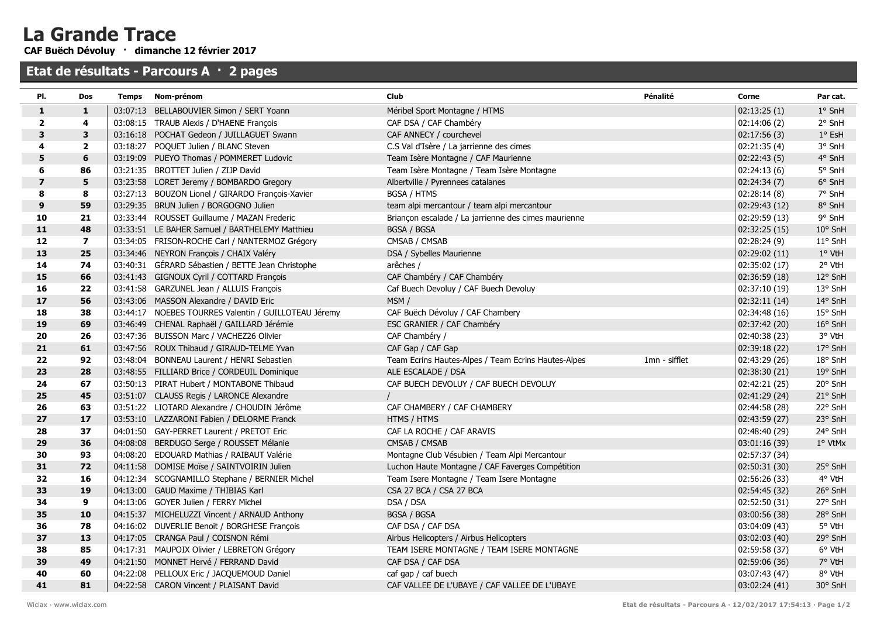## La Grande Trace

CAF Buëch Dévoluy · dimanche 12 février 2017

## Etat de résultats - Parcours A · 2 pages

| PI.                     | <b>Dos</b>              | Temps | Nom-prénom                                           | <b>Club</b>                                          | Pénalité      | Corne         | Par cat.         |
|-------------------------|-------------------------|-------|------------------------------------------------------|------------------------------------------------------|---------------|---------------|------------------|
| 1                       | $\mathbf{1}$            |       | 03:07:13 BELLABOUVIER Simon / SERT Yoann             | Méribel Sport Montagne / HTMS                        |               | 02:13:25(1)   | $1°$ SnH         |
| $\overline{\mathbf{2}}$ | 4                       |       | 03:08:15 TRAUB Alexis / D'HAENE François             | CAF DSA / CAF Chambéry                               |               | 02:14:06(2)   | 2° SnH           |
| 3                       | 3                       |       | 03:16:18 POCHAT Gedeon / JUILLAGUET Swann            | CAF ANNECY / courchevel                              |               | 02:17:56(3)   | $1^{\circ}$ EsH  |
| 4                       | $\overline{2}$          |       | 03:18:27 POQUET Julien / BLANC Steven                | C.S Val d'Isère / La jarrienne des cimes             |               | 02:21:35(4)   | 3° SnH           |
| 5                       | 6                       |       | 03:19:09 PUEYO Thomas / POMMERET Ludovic             | Team Isère Montagne / CAF Maurienne                  |               | 02:22:43(5)   | 4° SnH           |
| 6                       | 86                      |       | 03:21:35 BROTTET Julien / ZIJP David                 | Team Isère Montagne / Team Isère Montagne            |               | 02:24:13(6)   | 5° SnH           |
| $\overline{\mathbf{z}}$ | 5                       |       | 03:23:58 LORET Jeremy / BOMBARDO Gregory             | Albertville / Pyrennees catalanes                    |               | 02:24:34(7)   | 6° SnH           |
| 8                       | 8                       |       | 03:27:13 BOUZON Lionel / GIRARDO François-Xavier     | <b>BGSA / HTMS</b>                                   |               | 02:28:14(8)   | 7° SnH           |
| 9                       | 59                      |       | 03:29:35 BRUN Julien / BORGOGNO Julien               | team alpi mercantour / team alpi mercantour          |               | 02:29:43(12)  | 8° SnH           |
| 10                      | 21                      |       | 03:33:44 ROUSSET Guillaume / MAZAN Frederic          | Briançon escalade / La jarrienne des cimes maurienne |               | 02:29:59 (13) | 9° SnH           |
| $11$                    | 48                      |       | 03:33:51 LE BAHER Samuel / BARTHELEMY Matthieu       | <b>BGSA / BGSA</b>                                   |               | 02:32:25(15)  | $10^{\circ}$ SnH |
| 12                      | $\overline{\mathbf{z}}$ |       | 03:34:05 FRISON-ROCHE Carl / NANTERMOZ Grégory       | CMSAB / CMSAB                                        |               | 02:28:24(9)   | 11° SnH          |
| 13                      | 25                      |       | 03:34:46 NEYRON François / CHAIX Valéry              | DSA / Sybelles Maurienne                             |               | 02:29:02(11)  | 1° VtH           |
| 14                      | 74                      |       | 03:40:31 GÉRARD Sébastien / BETTE Jean Christophe    | arêches /                                            |               | 02:35:02(17)  | 2° VtH           |
| 15                      | 66                      |       | 03:41:43 GIGNOUX Cyril / COTTARD François            | CAF Chambéry / CAF Chambéry                          |               | 02:36:59(18)  | 12° SnH          |
| 16                      | 22                      |       | 03:41:58 GARZUNEL Jean / ALLUIS François             | Caf Buech Devoluy / CAF Buech Devoluy                |               | 02:37:10 (19) | 13° SnH          |
| 17                      | 56                      |       | 03:43:06 MASSON Alexandre / DAVID Eric               | MSM/                                                 |               | 02:32:11(14)  | 14° SnH          |
| 18                      | 38                      |       | 03:44:17 NOEBES TOURRES Valentin / GUILLOTEAU Jéremy | CAF Buëch Dévoluy / CAF Chambery                     |               | 02:34:48 (16) | 15° SnH          |
| 19                      | 69                      |       | 03:46:49 CHENAL Raphaël / GAILLARD Jérémie           | ESC GRANIER / CAF Chambéry                           |               | 02:37:42 (20) | 16° SnH          |
| 20                      | 26                      |       | 03:47:36 BUISSON Marc / VACHEZ26 Olivier             | CAF Chambéry /                                       |               | 02:40:38 (23) | 3° VtH           |
| 21                      | 61                      |       | 03:47:56 ROUX Thibaud / GIRAUD-TELME Yvan            | CAF Gap / CAF Gap                                    |               | 02:39:18 (22) | 17° SnH          |
| 22                      | 92                      |       | 03:48:04 BONNEAU Laurent / HENRI Sebastien           | Team Ecrins Hautes-Alpes / Team Ecrins Hautes-Alpes  | 1mn - sifflet | 02:43:29 (26) | 18° SnH          |
| 23                      | 28                      |       | 03:48:55 FILLIARD Brice / CORDEUIL Dominique         | ALE ESCALADE / DSA                                   |               | 02:38:30(21)  | 19° SnH          |
| 24                      | 67                      |       | 03:50:13 PIRAT Hubert / MONTABONE Thibaud            | CAF BUECH DEVOLUY / CAF BUECH DEVOLUY                |               | 02:42:21 (25) | $20^{\circ}$ SnH |
| 25                      | 45                      |       | 03:51:07 CLAUSS Regis / LARONCE Alexandre            |                                                      |               | 02:41:29 (24) | 21° SnH          |
| 26                      | 63                      |       | 03:51:22 LIOTARD Alexandre / CHOUDIN Jérôme          | CAF CHAMBERY / CAF CHAMBERY                          |               | 02:44:58 (28) | 22° SnH          |
| 27                      | 17                      |       | 03:53:10 LAZZARONI Fabien / DELORME Franck           | HTMS / HTMS                                          |               | 02:43:59(27)  | 23° SnH          |
| 28                      | 37                      |       | 04:01:50 GAY-PERRET Laurent / PRETOT Eric            | CAF LA ROCHE / CAF ARAVIS                            |               | 02:48:40 (29) | 24° SnH          |
| 29                      | 36                      |       | 04:08:08 BERDUGO Serge / ROUSSET Mélanie             | CMSAB / CMSAB                                        |               | 03:01:16 (39) | 1° VtMx          |
| 30                      | 93                      |       | 04:08:20 EDOUARD Mathias / RAIBAUT Valérie           | Montagne Club Vésubien / Team Alpi Mercantour        |               | 02:57:37 (34) |                  |
| 31                      | 72                      |       | 04:11:58 DOMISE Moïse / SAINTVOIRIN Julien           | Luchon Haute Montagne / CAF Faverges Compétition     |               | 02:50:31(30)  | 25° SnH          |
| 32                      | 16                      |       | 04:12:34 SCOGNAMILLO Stephane / BERNIER Michel       | Team Isere Montagne / Team Isere Montagne            |               | 02:56:26 (33) | 4° VtH           |
| 33                      | 19                      |       | 04:13:00 GAUD Maxime / THIBIAS Karl                  | CSA 27 BCA / CSA 27 BCA                              |               | 02:54:45 (32) | $26°$ SnH        |
| 34                      | 9                       |       | 04:13:06 GOYER Julien / FERRY Michel                 | DSA / DSA                                            |               | 02:52:50 (31) | 27° SnH          |
| 35                      | 10                      |       | 04:15:37 MICHELUZZI Vincent / ARNAUD Anthony         | <b>BGSA / BGSA</b>                                   |               | 03:00:56 (38) | 28° SnH          |
| 36                      | 78                      |       | 04:16:02 DUVERLIE Benoit / BORGHESE François         | CAF DSA / CAF DSA                                    |               | 03:04:09(43)  | 5° VtH           |
| 37                      | 13                      |       | 04:17:05 CRANGA Paul / COISNON Rémi                  | Airbus Helicopters / Airbus Helicopters              |               | 03:02:03(40)  | 29° SnH          |
| 38                      | 85                      |       | 04:17:31 MAUPOIX Olivier / LEBRETON Grégory          | TEAM ISERE MONTAGNE / TEAM ISERE MONTAGNE            |               | 02:59:58 (37) | 6° VtH           |
| 39                      | 49                      |       | 04:21:50 MONNET Hervé / FERRAND David                | CAF DSA / CAF DSA                                    |               | 02:59:06 (36) | 7° VtH           |
| 40                      | 60                      |       | 04:22:08 PELLOUX Eric / JACQUEMOUD Daniel            | caf gap / caf buech                                  |               | 03:07:43 (47) | 8° VtH           |
| 41                      | 81                      |       | 04:22:58 CARON Vincent / PLAISANT David              | CAF VALLEE DE L'UBAYE / CAF VALLEE DE L'UBAYE        |               | 03:02:24(41)  | 30° SnH          |